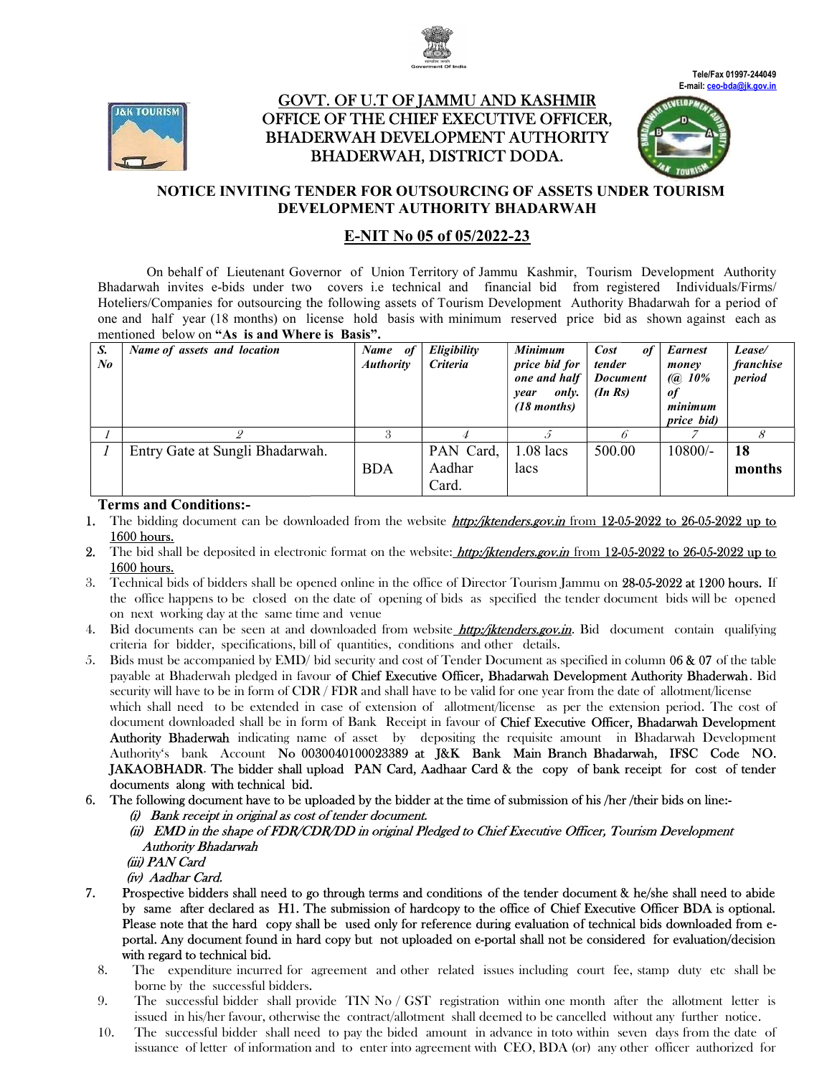



# <u>GOVT. OF U.T OF JAMMU AND KASHMIR</u> OFFICE OF THE CHIEF EXECUTIVE OFFICER, OFFICER, BHADERWAH DEVELOPMENT AUTHORITY BHADERWAH, DISTRICT DODA.





## NOTICE INVITING TENDER FOR OUTSOURCING OF ASSETS UNDER TOURISM DEVELOPMENT AUTHORITY BHADARWAH

# E-NIT No 05 of 05/2022-23

On behalf of Lieutenant Governor of Union Territory of Jammu Kashmir, Tourism Tourism Development Authority Bhadarwah invites e-bids under two covers i.e technical and financial bid from registered Individuals/Firms/ Hoteliers/Companies for outsourcing the following assets of Tourism Development Authority Bhadarwah for a period of one and half year (18 months) on license hold basis with minimum reserved price bid as shown against each as mentioned below on "As is and Where is Basis".

| S.<br>$N_{0}$ | Name of assets and location     | Name of<br><b>Authority</b> | Eligibility<br><b>Criteria</b> | Minimum<br>price bid for<br>one and half<br>only.<br>year<br>$(18$ months) | Cost<br>of<br>tender<br><b>Document</b><br>$(In\, Rs)$ | <b>Earnest</b><br>money<br>$(Q\ 10\%)$<br>of<br>minimum<br>price bid) | Lease/<br>franchise<br>period |
|---------------|---------------------------------|-----------------------------|--------------------------------|----------------------------------------------------------------------------|--------------------------------------------------------|-----------------------------------------------------------------------|-------------------------------|
|               |                                 |                             |                                |                                                                            |                                                        |                                                                       |                               |
|               | Entry Gate at Sungli Bhadarwah. | <b>BDA</b>                  | PAN Card,<br>Aadhar<br>Card.   | $1.08$ lacs<br>lacs                                                        | 500.00                                                 | 10800/-                                                               | 18<br>months                  |

## Terms and Conditions:-

- 1. The bidding document can be downloaded from the website *http://iktenders.gov.in* from 12-05-2022 to 26-05-2022 up to 1600 hours.
- 2. The bid shall be deposited in electronic format on the website: *http:/jktenders.gov.in* from 12-05-2022 to 26-05-2022 up to 1600 hours.
- 3. Technical bids of bidders shall be opened online in the office of Director Tourism Jammu on 28-05-2022 at 1200 hours. If the office happens to be closed on the date of opening of bids as specified the tender document bids will be opened on next working day at the same time and venue the office happens to be closed on the date of opening of bids as specified the tender document bids will be opened<br>on next working day at the same time and venue<br>4. Bid documents can be seen at and downloaded from website
- criteria for bidder, specifications, bill of quantities, conditions and other details. 4. Bid documents can be seen at and downloaded from website **http://iktenders.gov.in**. Bid document contain qualifying criteria for bidder, specifications, bill of quantities, conditions and other details.<br>5. Bids must be
- payable at Bhaderwah pledged in favour of Chief Executive Officer, Bhadarwah Development Authority Bhaderwah. Bid security will have to be in form of  $CDR$  /  $FDR$  and shall have to be valid for one year from the date of allotment/license security will have to be in form of CDR / FDR and shall have to be valid for one year from the date of allotment/license<br>which shall need to be extended in case of extension of allotment/license as per the extension period which shall need to be extended in case of extension of allotment/license as per the extension period. The cost of<br>document downloaded shall be in form of Bank Receipt in favour of **Chief Executive Officer, Bhadarwah Devel** Authority Bhaderwah indicating name of asset by depositing the requisite amount in Bhadarwah Development Authority's bank Account No 0030040100023389 at J&K Bank Main Branch Bhadarwah, IFSC Code NO. JAKAOBHADR. The bidder shall upload PAN Card, Aadhaar Card & the copy of bank documents along with technical bid. depositing the requisite amount in Bhadarwah Development<br> **t J&K Bank Main Branch Bhadarwah, IFSC Code NO.**<br> **Aadhaar Card & the copy of bank receipt for cost of tender**
- 6. The following document have to be uploaded by the bidder at the time of submission of his /her /their bids on line:-
	- (i) Bank receipt in original as cost of tender document.
	- (ii) EMD in the shape of FDR/CDR/DD in original Pledged to Chief Executive Officer, Tourism Development Authority Bhadarwah
		- (iii) PAN Card

(iv) Aadhar Card.

- 7. Prospective bidders shall need to go through terms and conditions of the tender document & he/she shall need to abide Prospective bidders shall need to go through terms and conditions of the tender document & he/she shall need to abide<br>by same after declared as H1. The submission of hardcopy to the office of Chief Executive Officer BDA is Please note that the hard copy shall be used only for reference during evaluation of technical bids downloaded from eportal. Any document found in hard copy but not uploaded on e-portal shall not be considered for evaluation/decision with regard to technical bid.
	- 8. The expenditure incurred for agreement and other related issues including court fee, stamp duty etc shall be borne by the successful bidders.
	- 9. The successful bidder shall provide TIN No  $/$  GST registration within one month after the allotment letter is issued in his/her favour, otherwise the contract/allotment shall deemed to be cancelled without any further notice. it not uploaded on e-portal shall not be considered for evaluation/decision<br>
	and other related issues including court fee, stamp duty etc shall be<br>
	N No / GST registration within one month after the allotment letter is<br>
	tr
	- 10. The successful bidder shall need to pay the bided amount in advance in toto within seven days from the date of issuance of letter of information and to enter into agreement with CEO, BDA (or) any other officer authorized for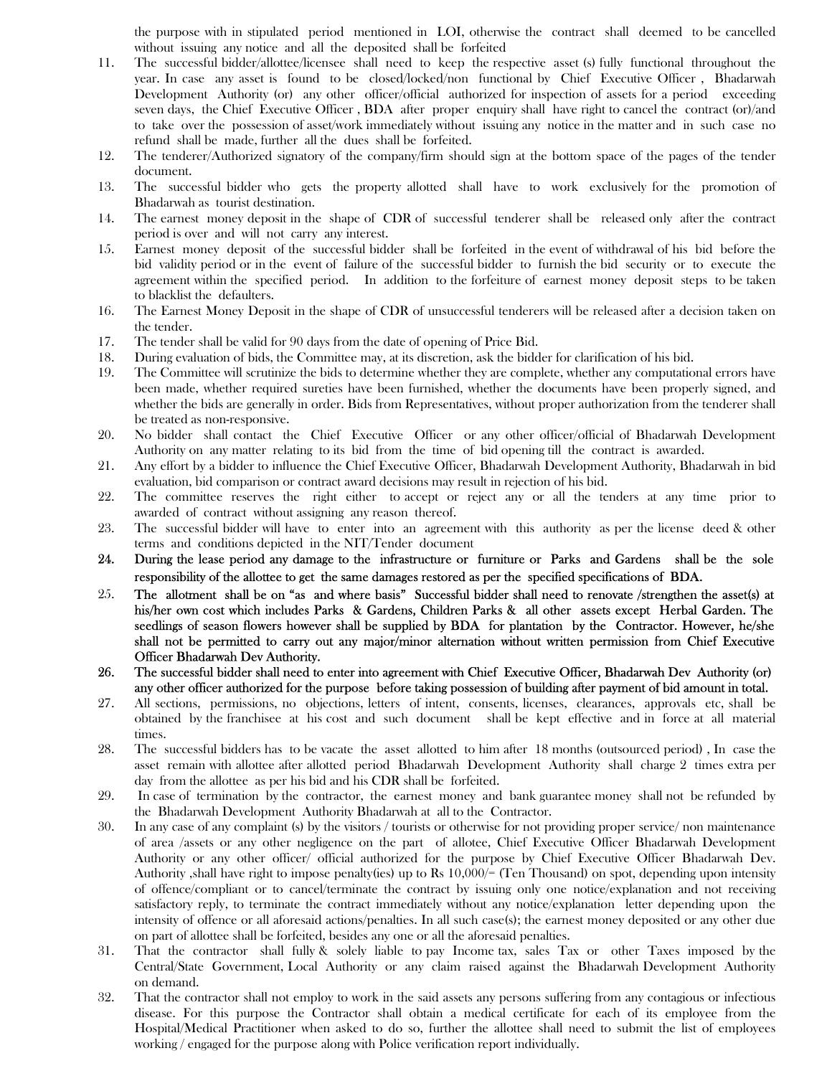the purpose with in stipulated period mentioned in LOI, otherwise the contract shall deemed to be cancelled without issuing any notice and all the deposited shall be forfeited

- 11. The successful bidder/allottee/licensee shall need to keep the respective asset (s) fully functional throughout the year. In case any asset is found to be closed/locked/non functional by Chief Executive Officer , Bhadarwah Development Authority (or) any other officer/official authorized for inspection of assets for a period exceeding seven days, the Chief Executive Officer , BDA after proper enquiry shall have right to cancel the contract (or)/and to take over the possession of asset/work immediately without issuing any notice in the matter and in such case no refund shall be made, further all the dues shall be forfeited.
- 12. The tenderer/Authorized signatory of the company/firm should sign at the bottom space of the pages of the tender document.
- 13. The successful bidder who gets the property allotted shall have to work exclusively for the promotion of Bhadarwah as tourist destination.
- 14. The earnest money deposit in the shape of CDR of successful tenderer shall be released only after the contract period is over and will not carry any interest.
- 15. Earnest money deposit of the successful bidder shall be forfeited in the event of withdrawal of his bid before the bid validity period or in the event of failure of the successful bidder to furnish the bid security or to execute the agreement within the specified period. In addition to the forfeiture of earnest money deposit steps to be taken to blacklist the defaulters.
- 16. The Earnest Money Deposit in the shape of CDR of unsuccessful tenderers will be released after a decision taken on the tender.
- 17. The tender shall be valid for 90 days from the date of opening of Price Bid.
- 18. During evaluation of bids, the Committee may, at its discretion, ask the bidder for clarification of his bid.
- 19. The Committee will scrutinize the bids to determine whether they are complete, whether any computational errors have been made, whether required sureties have been furnished, whether the documents have been properly signed, and whether the bids are generally in order. Bids from Representatives, without proper authorization from the tenderer shall be treated as non-responsive.
- 20. No bidder shall contact the Chief Executive Officer or any other officer/official of Bhadarwah Development Authority on any matter relating to its bid from the time of bid opening till the contract is awarded.
- 21. Any effort by a bidder to influence the Chief Executive Officer, Bhadarwah Development Authority, Bhadarwah in bid evaluation, bid comparison or contract award decisions may result in rejection of his bid.
- 22. The committee reserves the right either to accept or reject any or all the tenders at any time prior to awarded of contract without assigning any reason thereof.
- 23. The successful bidder will have to enter into an agreement with this authority as per the license deed & other terms and conditions depicted in the NIT/Tender document
- 24. During the lease period any damage to the infrastructure or furniture or Parks and Gardens shall be the sole responsibility of the allottee to get the same damages restored as per the specified specifications of BDA.
- 25. The allotment shall be on "as and where basis" Successful bidder shall need to renovate /strengthen the asset(s) at his/her own cost which includes Parks & Gardens, Children Parks & all other assets except Herbal Garden. The seedlings of season flowers however shall be supplied by BDA for plantation by the Contractor. However, he/she shall not be permitted to carry out any major/minor alternation without written permission from Chief Executive Officer Bhadarwah Dev Authority.
- 26. The successful bidder shall need to enter into agreement with Chief Executive Officer, Bhadarwah Dev Authority (or) any other officer authorized for the purpose before taking possession of building after payment of bid amount in total.
- 27. All sections, permissions, no objections, letters of intent, consents, licenses, clearances, approvals etc, shall be obtained by the franchisee at his cost and such document shall be kept effective and in force at all material times.
- 28. The successful bidders has to be vacate the asset allotted to him after 18 months (outsourced period) , In case the asset remain with allottee after allotted period Bhadarwah Development Authority shall charge 2 times extra per day from the allottee as per his bid and his CDR shall be forfeited.
- 29. In case of termination by the contractor, the earnest money and bank guarantee money shall not be refunded by the Bhadarwah Development Authority Bhadarwah at all to the Contractor.
- 30. In any case of any complaint (s) by the visitors / tourists or otherwise for not providing proper service/ non maintenance of area /assets or any other negligence on the part of allotee, Chief Executive Officer Bhadarwah Development Authority or any other officer/ official authorized for the purpose by Chief Executive Officer Bhadarwah Dev. Authority ,shall have right to impose penalty(ies) up to Rs 10,000/= (Ten Thousand) on spot, depending upon intensity of offence/compliant or to cancel/terminate the contract by issuing only one notice/explanation and not receiving satisfactory reply, to terminate the contract immediately without any notice/explanation letter depending upon the intensity of offence or all aforesaid actions/penalties. In all such case(s); the earnest money deposited or any other due on part of allottee shall be forfeited, besides any one or all the aforesaid penalties.
- 31. That the contractor shall fully & solely liable to pay Income tax, sales Tax or other Taxes imposed by the Central/State Government, Local Authority or any claim raised against the Bhadarwah Development Authority on demand.
- 32. That the contractor shall not employ to work in the said assets any persons suffering from any contagious or infectious disease. For this purpose the Contractor shall obtain a medical certificate for each of its employee from the Hospital/Medical Practitioner when asked to do so, further the allottee shall need to submit the list of employees working / engaged for the purpose along with Police verification report individually.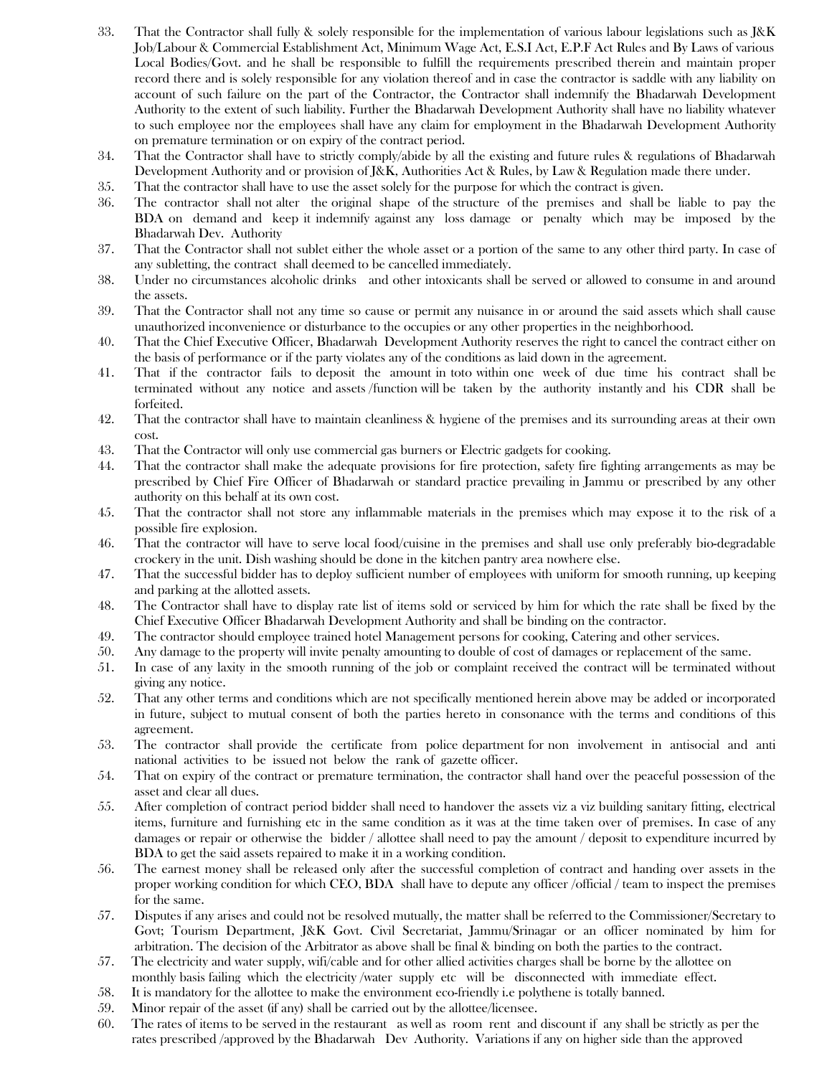- 33. That the Contractor shall fully & solely responsible for the implementation of various labour legislations such as J&K Job/Labour & Commercial Establishment Act, Minimum Wage Act, E.S.I Act, E.P.F Act Rules and By Laws of various Local Bodies/Govt. and he shall be responsible to fulfill the requirements prescribed therein and maintain proper record there and is solely responsible for any violation thereof and in case the contractor is saddle with any liability on account of such failure on the part of the Contractor, the Contractor shall indemnify the Bhadarwah Development Authority to the extent of such liability. Further the Bhadarwah Development Authority shall have no liability whatever to such employee nor the employees shall have any claim for employment in the Bhadarwah Development Authority on premature termination or on expiry of the contract period.
- 34. That the Contractor shall have to strictly comply/abide by all the existing and future rules & regulations of Bhadarwah Development Authority and or provision of J&K, Authorities Act & Rules, by Law & Regulation made there under.
- 35. That the contractor shall have to use the asset solely for the purpose for which the contract is given.
- 36. The contractor shall not alter the original shape of the structure of the premises and shall be liable to pay the BDA on demand and keep it indemnify against any loss damage or penalty which may be imposed by the Bhadarwah Dev. Authority
- 37. That the Contractor shall not sublet either the whole asset or a portion of the same to any other third party. In case of any subletting, the contract shall deemed to be cancelled immediately.
- 38. Under no circumstances alcoholic drinks and other intoxicants shall be served or allowed to consume in and around the assets.
- 39. That the Contractor shall not any time so cause or permit any nuisance in or around the said assets which shall cause unauthorized inconvenience or disturbance to the occupies or any other properties in the neighborhood.
- 40. That the Chief Executive Officer, Bhadarwah Development Authority reserves the right to cancel the contract either on the basis of performance or if the party violates any of the conditions as laid down in the agreement.
- 41. That if the contractor fails to deposit the amount in toto within one week of due time his contract shall be terminated without any notice and assets /function will be taken by the authority instantly and his CDR shall be forfeited.
- 42. That the contractor shall have to maintain cleanliness & hygiene of the premises and its surrounding areas at their own cost.
- 43. That the Contractor will only use commercial gas burners or Electric gadgets for cooking.
- 44. That the contractor shall make the adequate provisions for fire protection, safety fire fighting arrangements as may be prescribed by Chief Fire Officer of Bhadarwah or standard practice prevailing in Jammu or prescribed by any other authority on this behalf at its own cost.
- 45. That the contractor shall not store any inflammable materials in the premises which may expose it to the risk of a possible fire explosion.
- 46. That the contractor will have to serve local food/cuisine in the premises and shall use only preferably bio-degradable crockery in the unit. Dish washing should be done in the kitchen pantry area nowhere else.
- 47. That the successful bidder has to deploy sufficient number of employees with uniform for smooth running, up keeping and parking at the allotted assets.
- 48. The Contractor shall have to display rate list of items sold or serviced by him for which the rate shall be fixed by the Chief Executive Officer Bhadarwah Development Authority and shall be binding on the contractor.
- 49. The contractor should employee trained hotel Management persons for cooking, Catering and other services.
- 50. Any damage to the property will invite penalty amounting to double of cost of damages or replacement of the same.
- 51. In case of any laxity in the smooth running of the job or complaint received the contract will be terminated without giving any notice.
- 52. That any other terms and conditions which are not specifically mentioned herein above may be added or incorporated in future, subject to mutual consent of both the parties hereto in consonance with the terms and conditions of this agreement.
- 53. The contractor shall provide the certificate from police department for non involvement in antisocial and anti national activities to be issued not below the rank of gazette officer.
- 54. That on expiry of the contract or premature termination, the contractor shall hand over the peaceful possession of the asset and clear all dues.
- 55. After completion of contract period bidder shall need to handover the assets viz a viz building sanitary fitting, electrical items, furniture and furnishing etc in the same condition as it was at the time taken over of premises. In case of any damages or repair or otherwise the bidder / allottee shall need to pay the amount / deposit to expenditure incurred by BDA to get the said assets repaired to make it in a working condition.
- 56. The earnest money shall be released only after the successful completion of contract and handing over assets in the proper working condition for which CEO, BDA shall have to depute any officer /official / team to inspect the premises for the same.
- 57. Disputes if any arises and could not be resolved mutually, the matter shall be referred to the Commissioner/Secretary to Govt; Tourism Department, J&K Govt. Civil Secretariat, Jammu/Srinagar or an officer nominated by him for arbitration. The decision of the Arbitrator as above shall be final & binding on both the parties to the contract.
- 57. The electricity and water supply, wifi/cable and for other allied activities charges shall be borne by the allottee on monthly basis failing which the electricity /water supply etc will be disconnected with immediate effect.
- 58. It is mandatory for the allottee to make the environment eco-friendly i.e polythene is totally banned.
- 59. Minor repair of the asset (if any) shall be carried out by the allottee/licensee.
- 60. The rates of items to be served in the restaurant as well as room rent and discount if any shall be strictly as per the rates prescribed /approved by the Bhadarwah Dev Authority. Variations if any on higher side than the approved